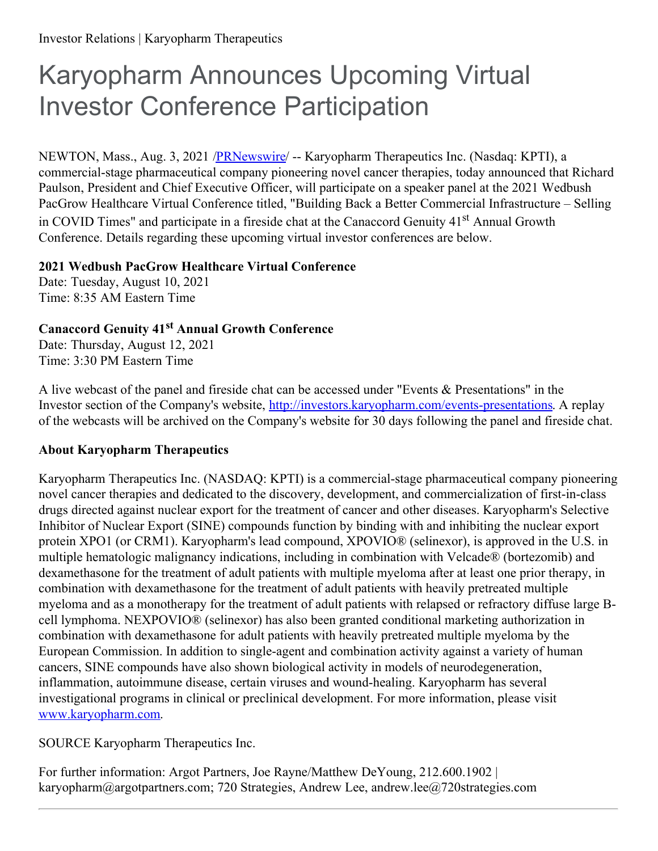## Karyopharm Announces Upcoming Virtual Investor Conference Participation

NEWTON, Mass., Aug. 3, 2021 [/PRNewswire](http://www.prnewswire.com/)/ -- Karyopharm Therapeutics Inc. (Nasdaq: KPTI), a commercial-stage pharmaceutical company pioneering novel cancer therapies, today announced that Richard Paulson, President and Chief Executive Officer, will participate on a speaker panel at the 2021 Wedbush PacGrow Healthcare Virtual Conference titled, "Building Back a Better Commercial Infrastructure – Selling in COVID Times" and participate in a fireside chat at the Canaccord Genuity 41<sup>st</sup> Annual Growth Conference. Details regarding these upcoming virtual investor conferences are below.

## **2021 Wedbush PacGrow Healthcare Virtual Conference**

Date: Tuesday, August 10, 2021 Time: 8:35 AM Eastern Time

## **Canaccord Genuity 41 st Annual Growth Conference**

Date: Thursday, August 12, 2021 Time: 3:30 PM Eastern Time

A live webcast of the panel and fireside chat can be accessed under "Events & Presentations" in the Investor section of the Company's website, [http://investors.karyopharm.com/events-presentations](https://c212.net/c/link/?t=0&l=en&o=3246864-1&h=4021557988&u=http%3A%2F%2Finvestors.karyopharm.com%2Fevents-presentations&a=http%3A%2F%2Finvestors.karyopharm.com%2Fevents-presentations). A replay of the webcasts will be archived on the Company's website for 30 days following the panel and fireside chat.

## **About Karyopharm Therapeutics**

Karyopharm Therapeutics Inc. (NASDAQ: KPTI) is a commercial-stage pharmaceutical company pioneering novel cancer therapies and dedicated to the discovery, development, and commercialization of first-in-class drugs directed against nuclear export for the treatment of cancer and other diseases. Karyopharm's Selective Inhibitor of Nuclear Export (SINE) compounds function by binding with and inhibiting the nuclear export protein XPO1 (or CRM1). Karyopharm's lead compound, XPOVIO® (selinexor), is approved in the U.S. in multiple hematologic malignancy indications, including in combination with Velcade® (bortezomib) and dexamethasone for the treatment of adult patients with multiple myeloma after at least one prior therapy, in combination with dexamethasone for the treatment of adult patients with heavily pretreated multiple myeloma and as a monotherapy for the treatment of adult patients with relapsed or refractory diffuse large Bcell lymphoma. NEXPOVIO® (selinexor) has also been granted conditional marketing authorization in combination with dexamethasone for adult patients with heavily pretreated multiple myeloma by the European Commission. In addition to single-agent and combination activity against a variety of human cancers, SINE compounds have also shown biological activity in models of neurodegeneration, inflammation, autoimmune disease, certain viruses and wound-healing. Karyopharm has several investigational programs in clinical or preclinical development. For more information, please visit [www.karyopharm.com](https://c212.net/c/link/?t=0&l=en&o=3246864-1&h=3639192772&u=http%3A%2F%2Fwww.karyopharm.com%2F&a=www.karyopharm.com).

SOURCE Karyopharm Therapeutics Inc.

For further information: Argot Partners, Joe Rayne/Matthew DeYoung, 212.600.1902 | karyopharm@argotpartners.com; 720 Strategies, Andrew Lee, andrew.lee@720strategies.com